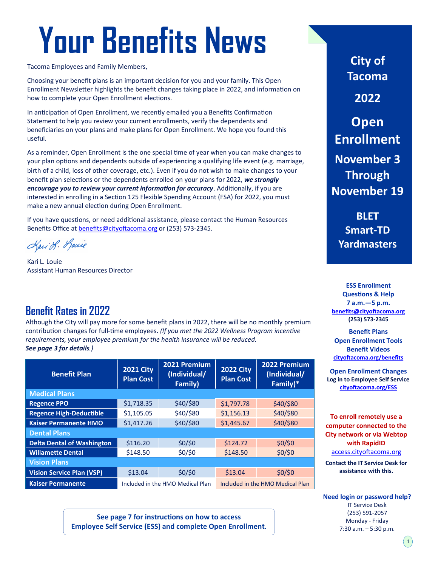# **Your Benefits News**

Tacoma Employees and Family Members,

Choosing your benefit plans is an important decision for you and your family. This Open Enrollment Newsletter highlights the benefit changes taking place in 2022, and information on how to complete your Open Enrollment elections.

In anticipation of Open Enrollment, we recently emailed you a Benefits Confirmation Statement to help you review your current enrollments, verify the dependents and beneficiaries on your plans and make plans for Open Enrollment. We hope you found this useful.

As a reminder, Open Enrollment is the one special time of year when you can make changes to your plan options and dependents outside of experiencing a qualifying life event (e.g. marriage, birth of a child, loss of other coverage, etc.). Even if you do not wish to make changes to your benefit plan selections or the dependents enrolled on your plans for 2022, *we strongly encourage you to review your current information for accuracy*. Additionally, if you are interested in enrolling in a Section 125 Flexible Spending Account (FSA) for 2022, you must make a new annual election during Open Enrollment.

If you have questions, or need additional assistance, please contact the Human Resources Benefits Office at [benefits@cityoftacoma.org](mailto:benefits@cityoftacoma.org) or (253) 573‐2345.

Kari S. Louie

Kari L. Louie Assistant Human Resources Director

### **Benefit Rates in 2022**

Although the City will pay more for some benefit plans in 2022, there will be no monthly premium contribution changes for full-time employees. *(If you met the 2022 Wellness Program incentive requirements, your employee premium for the health insurance will be reduced. See page 3 for details.)*

| <b>Benefit Plan</b>               | 2021 City<br><b>Plan Cost</b>    | 2021 Premium<br>(Individual/<br>Family) | <b>2022 City</b><br><b>Plan Cost</b> | 2022 Premium<br>(Individual/<br>Family)* |
|-----------------------------------|----------------------------------|-----------------------------------------|--------------------------------------|------------------------------------------|
| <b>Medical Plans</b>              |                                  |                                         |                                      |                                          |
| <b>Regence PPO</b>                | \$1,718.35                       | \$40/\$80                               | \$1,797.78                           | \$40/\$80                                |
| <b>Regence High-Deductible</b>    | \$1,105.05                       | \$40/\$80                               | \$1,156.13                           | \$40/\$80                                |
| <b>Kaiser Permanente HMO</b>      | \$1,417.26                       | \$40/\$80                               | \$1,445.67                           | \$40/\$80                                |
| <b>Dental Plans</b>               |                                  |                                         |                                      |                                          |
| <b>Delta Dental of Washington</b> | \$116.20                         | $$0/$ \$0                               | \$124.72                             | \$0/\$0                                  |
| <b>Willamette Dental</b>          | \$148.50                         | $$0/$ \$0                               | \$148.50                             | \$0/\$0                                  |
| <b>Vision Plans</b>               |                                  |                                         |                                      |                                          |
| <b>Vision Service Plan (VSP)</b>  | \$13.04                          | $$0/$ \$0                               | \$13.04                              | \$0/\$0                                  |
| <b>Kaiser Permanente</b>          | Included in the HMO Medical Plan |                                         | Included in the HMO Medical Plan     |                                          |

**See page 7 for instructions on how to access Employee Self Service (ESS) and complete Open Enrollment.**

**City of Tacoma**

**2022**

**Open Enrollment November 3 Through November 19**

**BLET Smart-TD Yardmasters**

**ESS Enrollment Questions & Help 7 a.m.—5 p.m. [benefits@cityoftacoma.org](mailto:benefits@cityoftacoma.org) (253) 573‐2345**

**Benefit Plans Open Enrollment Tools Benefit Videos [cityoftacoma.org/benefits](http://www.cityoftacoma.org/benefits)**

**Open Enrollment Changes Log in to Employee Self Service [cityoftacoma.org/ESS](http://www.cityoftacoma.org/ESS)**

**To enroll remotely use a computer connected to the City network or via Webtop with RapidID** <access.cityoftacoma.org>

**Contact the IT Service Desk for assistance with this.**

**Need login or password help?** IT Service Desk (253) 591‐2057 Monday - Friday 7:30 a.m. – 5:30 p.m.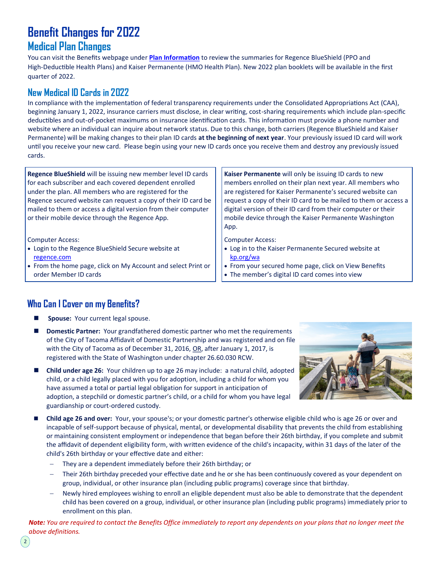# **Benefit Changes for 2022**

### **Medical Plan Changes**

You can visit the Benefits webpage under **[Plan Information](https://www.cityoftacoma.org/cms/One.aspx?portalId=169&pageId=36112)** to review the summaries for Regence BlueShield (PPO and High-Deductible Health Plans) and Kaiser Permanente (HMO Health Plan). New 2022 plan booklets will be available in the first quarter of 2022.

### **New Medical ID Cards in 2022**

In compliance with the implementation of federal transparency requirements under the Consolidated Appropriations Act (CAA), beginning January 1, 2022, insurance carriers must disclose, in clear writing, cost-sharing requirements which include plan-specific deductibles and out-of-pocket maximums on insurance identification cards. This information must provide a phone number and website where an individual can inquire about network status. Due to this change, both carriers (Regence BlueShield and Kaiser Permanente) will be making changes to their plan ID cards **at the beginning of next year**. Your previously issued ID card will work until you receive your new card. Please begin using your new ID cards once you receive them and destroy any previously issued cards.

**Regence BlueShield** will be issuing new member level ID cards for each subscriber and each covered dependent enrolled under the plan. All members who are registered for the Regence secured website can request a copy of their ID card be mailed to them or access a digital version from their computer or their mobile device through the Regence App.

Computer Access:

- Login to the Regence BlueShield Secure website at [regence.com](http://www.regence.com)
- From the home page, click on My Account and select Print or order Member ID cards

**Kaiser Permanente** will only be issuing ID cards to new members enrolled on their plan next year. All members who are registered for Kaiser Permanente's secured website can request a copy of their ID card to be mailed to them or access a digital version of their ID card from their computer or their mobile device through the Kaiser Permanente Washington App.

Computer Access:

- Log in to the Kaiser Permanente Secured website at [kp.org/wa](http://www.kp.org/wa)
- From your secured home page, click on View Benefits
- The member's digital ID card comes into view

### **Who Can I Cover on my Benefits?**

- Spouse: Your current legal spouse.
- **Domestic Partner:** Your grandfathered domestic partner who met the requirements of the City of Tacoma Affidavit of Domestic Partnership and was registered and on file with the City of Tacoma as of December 31, 2016, OR, after January 1, 2017, is registered with the State of Washington under chapter 26.60.030 RCW.
- **Child under age 26:** Your children up to age 26 may include: a natural child, adopted child, or a child legally placed with you for adoption, including a child for whom you have assumed a total or partial legal obligation for support in anticipation of adoption, a stepchild or domestic partner's child, or a child for whom you have legal guardianship or court-ordered custody.



- Child age 26 and over: Your, your spouse's; or your domestic partner's otherwise eligible child who is age 26 or over and incapable of self-support because of physical, mental, or developmental disability that prevents the child from establishing or maintaining consistent employment or independence that began before their 26th birthday, if you complete and submit the affidavit of dependent eligibility form, with written evidence of the child's incapacity, within 31 days of the later of the child's 26th birthday or your effective date and either:
	- They are a dependent immediately before their 26th birthday; or
	- Their 26th birthday preceded your effective date and he or she has been continuously covered as your dependent on group, individual, or other insurance plan (including public programs) coverage since that birthday.
	- − Newly hired employees wishing to enroll an eligible dependent must also be able to demonstrate that the dependent child has been covered on a group, individual, or other insurance plan (including public programs) immediately prior to enrollment on this plan.

*Note: You are required to contact the Benefits Office immediately to report any dependents on your plans that no longer meet the above definitions.*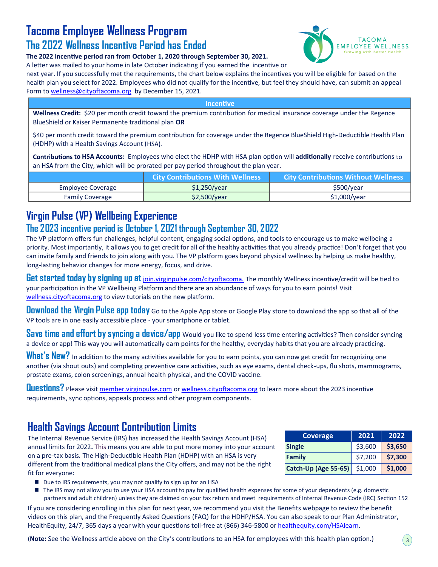### **Tacoma Employee Wellness Program**

### **The 2022 Wellness Incentive Period has Ended**

**The 2022 incentive period ran from October 1, 2020 through September 30, 2021.** 



A letter was mailed to your home in late October indicating if you earned the incentive or next year. If you successfully met the requirements, the chart below explains the incentives you will be eligible for based on the health plan you select for 2022. Employees who did not qualify for the incentive, but feel they should have, can submit an appeal Form to [wellness@cityoftacoma.org](mailto:wellness@cityoftacoma.org) by December 15, 2021.

**Incentive** 

**Wellness Credit:** \$20 per month credit toward the premium contribution for medical insurance coverage under the Regence BlueShield or Kaiser Permanente traditional plan **OR**

\$40 per month credit toward the premium contribution for coverage under the Regence BlueShield High-Deductible Health Plan (HDHP) with a Health Savings Account (HSA).

**to HSA Accounts:** Employees who elect the HDHP with HSA plan option will **additionally** receive contributions an HSA from the City, which will be prorated per pay period throughout the plan year.

|                        | <b>City Contributions With Wellness</b> | <b>City Contributions Without Wellness</b> |
|------------------------|-----------------------------------------|--------------------------------------------|
| Employee Coverage      | \$1,250/year                            | \$500/year                                 |
| <b>Family Coverage</b> | \$2,500/year                            | $$1,000$ /year                             |

### **Virgin Pulse (VP) Wellbeing Experience**

### **The 2023 incentive period is October 1, 2021 through September 30, 2022**

The VP platform offers fun challenges, helpful content, engaging social options, and tools to encourage us to make wellbeing a priority. Most importantly, it allows you to get credit for all of the healthy activities that you already practice! Don't forget that you can invite family and friends to join along with you. The VP platform goes beyond physical wellness by helping us make healthy, long-lasting behavior changes for more energy, focus, and drive.

**Get started today by signing up at** <join.virginpulse.com/cityoftacoma.> The monthly Wellness incentive/credit will be tied to your participation in the VP Wellbeing Platform and there are an abundance of ways for you to earn points! Visit <wellness.cityoftacoma.org> to view tutorials on the new platform.

**Download the Virgin Pulse app today** Go to the Apple App store or Google Play store to download the app so that all of the VP tools are in one easily accessible place - your smartphone or tablet.

**Save time and effort by syncing a device/app** Would you like to spend less time entering activities? Then consider syncing a device or app! This way you will automatically earn points for the healthy, everyday habits that you are already practicing.

What's New? In addition to the many activities available for you to earn points, you can now get credit for recognizing one another (via shout outs) and completing preventive care activities, such as eye exams, dental check-ups, flu shots, mammograms, prostate exams, colon screenings, annual health physical, and the COVID vaccine.

**Questions?** Please visit<member.virginpulse.com> or <wellness.cityoftacoma.org> to learn more about the 2023 incentive requirements, sync options, appeals process and other program components.

### **Health Savings Account Contribution Limits**

The Internal Revenue Service (IRS) has increased the Health Savings Account (HSA) annual limits for 2022**.** This means you are able to put more money into your account on a pre-tax basis. The High-Deductible Health Plan (HDHP) with an HSA is very different from the traditional medical plans the City offers, and may not be the right fit for everyone:

| <b>Coverage</b>      | 2021    | 2022    |
|----------------------|---------|---------|
| <b>Single</b>        | \$3,600 | \$3,650 |
| Family               | \$7,200 | \$7,300 |
| Catch-Up (Age 55-65) | \$1,000 | \$1,000 |

- Due to IRS requirements, you may not qualify to sign up for an HSA
- The IRS may not allow you to use your HSA account to pay for qualified health expenses for some of your dependents (e.g. domestic partners and adult children) unless they are claimed on your tax return and meet requirements of Internal Revenue Code (IRC) Section 152.

If you are considering enrolling in this plan for next year, we recommend you visit the Benefits webpage to review the benefit videos on this plan, and the Frequently Asked Questions (FAQ) for the HDHP/HSA. You can also speak to our Plan Administrator, HealthEquity, 24/7, 365 days a year with your questions toll-free at (866) 346-5800 or [healthequity.com/HSAlearn.](healthequity.com/HSAlearn)

(**Note:** See the Wellness article above on the City's contributions to an HSA for employees with this health plan option.)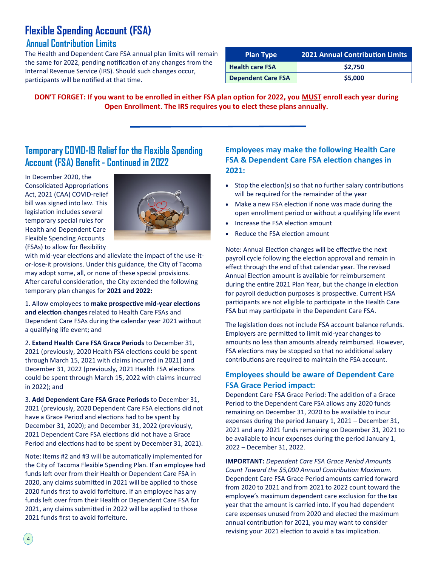### **Flexible Spending Account (FSA)**

#### **Annual Contribution Limits**

The Health and Dependent Care FSA annual plan limits will remain the same for 2022, pending notification of any changes from the Internal Revenue Service (IRS). Should such changes occur, participants will be notified at that time.

| <b>Plan Type</b>          | <b>2021 Annual Contribution Limits</b> |
|---------------------------|----------------------------------------|
| <b>Health care FSA</b>    | \$2.750                                |
| <b>Dependent Care FSA</b> | \$5,000                                |

**DON'T FORGET: If you want to be enrolled in either FSA plan option for 2022, you MUST enroll each year during Open Enrollment. The IRS requires you to elect these plans annually.**

### **Temporary COVID-19 Relief for the Flexible Spending Account (FSA) Benefit - Continued in 2022**

In December 2020, the Consolidated Appropriations Act, 2021 (CAA) COVID-relief bill was signed into law. This legislation includes several temporary special rules for Health and Dependent Care Flexible Spending Accounts (FSAs) to allow for flexibility



with mid-year elections and alleviate the impact of the use-itor-lose-it provisions. Under this guidance, the City of Tacoma may adopt some, all, or none of these special provisions. After careful consideration, the City extended the following temporary plan changes for **2021 and 2022:**

1. Allow employees to **make prospective mid-year elections and election changes** related to Health Care FSAs and Dependent Care FSAs during the calendar year 2021 without a qualifying life event; and

2. **Extend Health Care FSA Grace Periods** to December 31, 2021 (previously, 2020 Health FSA elections could be spent through March 15, 2021 with claims incurred in 2021) and December 31, 2022 (previously, 2021 Health FSA elections could be spent through March 15, 2022 with claims incurred in 2022); and

3. **Add Dependent Care FSA Grace Periods** to December 31, 2021 (previously, 2020 Dependent Care FSA elections did not have a Grace Period and elections had to be spent by December 31, 2020); and December 31, 2022 (previously, 2021 Dependent Care FSA elections did not have a Grace Period and elections had to be spent by December 31, 2021).

Note: Items #2 and #3 will be automatically implemented for the City of Tacoma Flexible Spending Plan. If an employee had funds left over from their Health or Dependent Care FSA in 2020, any claims submitted in 2021 will be applied to those 2020 funds first to avoid forfeiture. If an employee has any funds left over from their Health or Dependent Care FSA for 2021, any claims submitted in 2022 will be applied to those 2021 funds first to avoid forfeiture.

 $\left( 4 \right)$ 

#### **Employees may make the following Health Care FSA & Dependent Care FSA election changes in 2021:**

- Stop the election(s) so that no further salary contributions will be required for the remainder of the year
- Make a new FSA election if none was made during the open enrollment period or without a qualifying life event
- Increase the FSA election amount
- Reduce the FSA election amount

Note: Annual Election changes will be effective the next payroll cycle following the election approval and remain in effect through the end of that calendar year. The revised Annual Election amount is available for reimbursement during the entire 2021 Plan Year, but the change in election for payroll deduction purposes is prospective. Current HSA participants are not eligible to participate in the Health Care FSA but may participate in the Dependent Care FSA.

The legislation does not include FSA account balance refunds. Employers are permitted to limit mid-year changes to amounts no less than amounts already reimbursed. However, FSA elections may be stopped so that no additional salary contributions are required to maintain the FSA account.

#### **Employees should be aware of Dependent Care FSA Grace Period impact:**

Dependent Care FSA Grace Period: The addition of a Grace Period to the Dependent Care FSA allows any 2020 funds remaining on December 31, 2020 to be available to incur expenses during the period January 1, 2021 – December 31, 2021 and any 2021 funds remaining on December 31, 2021 to be available to incur expenses during the period January 1, 2022 – December 31, 2022.

**IMPORTANT:** *Dependent Care FSA Grace Period Amounts Count Toward the \$5,000 Annual Contribution Maximum.*  Dependent Care FSA Grace Period amounts carried forward from 2020 to 2021 and from 2021 to 2022 count toward the employee's maximum dependent care exclusion for the tax year that the amount is carried into. If you had dependent care expenses unused from 2020 and elected the maximum annual contribution for 2021, you may want to consider revising your 2021 election to avoid a tax implication.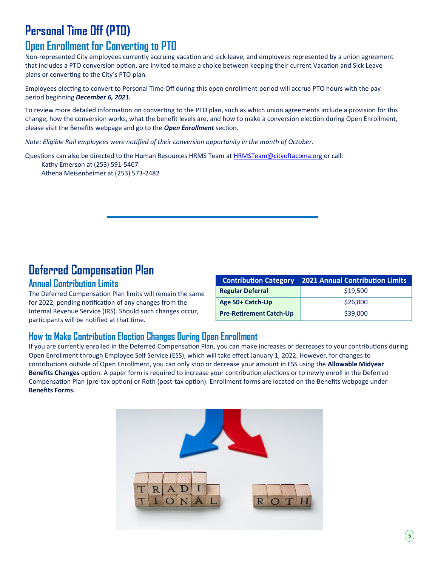### **Personal Time Off (PTO)**

### **Open Enrollment for Converting to PTO**

Non-represented City employees currently accruing vacation and sick leave, and employees represented by a union agreement that includes a PTO conversion option, are invited to make a choice between keeping their current Vacation and Sick Leave plans or converting to the City's PTO plan.

Employees electing to convert to Personal Time Off during this open enrollment period will accrue PTO hours with the pay period beginning *December 6, 2021.*

To review more detailed information on converting to the PTO plan, such as which union agreements include a provision for this change, how the conversion works, what the benefit levels are, and how to make a conversion election during Open Enrollment, please visit the Benefits webpage and go to the *Open Enrollment* section.

*Note: Eligible Rail employees were notified of their conversion opportunity in the month of October.*

Questions can also be directed to the Human Resources HRMS Team at [HRMSTeam@cityoftacoma.org](mailto:HRMSTeam@cityoftacoma.org) or call: Kathy Emerson at (253) 591‐5407 Athena Meisenheimer at (253) 573-2482

### **Deferred Compensation Plan**

#### **Annual Contribution Limits**

The Deferred Compensation Plan limits will remain the same for 2022, pending notification of any changes from the Internal Revenue Service (IRS). Should such changes occur, participants will be notified at that time.

| <b>Contribution Category</b>   | <b>2021 Annual Contribution Limits</b> |
|--------------------------------|----------------------------------------|
| <b>Regular Deferral</b>        | \$19,500                               |
| Age 50+ Catch-Up               | \$26,000                               |
| <b>Pre-Retirement Catch-Up</b> | \$39,000                               |

### **How to Make Contributi**o**n Election Changes During Open Enrollment**

If you are currently enrolled in the Deferred Compensation Plan, you can make increases or decreases to your contributions during Open Enrollment through Employee Self Service (ESS), which will take effect January 1, 2022. However, for changes to contributions outside of Open Enrollment, you can only stop or decrease your amount in ESS using the **Allowable Midyear Benefits Changes** option. A paper form is required to increase your contribution elections or to newly enroll in the Deferred Compensation Plan (pre-tax option) or Roth (post-tax option). Enrollment forms are located on the Benefits webpage under **Benefits Forms.**

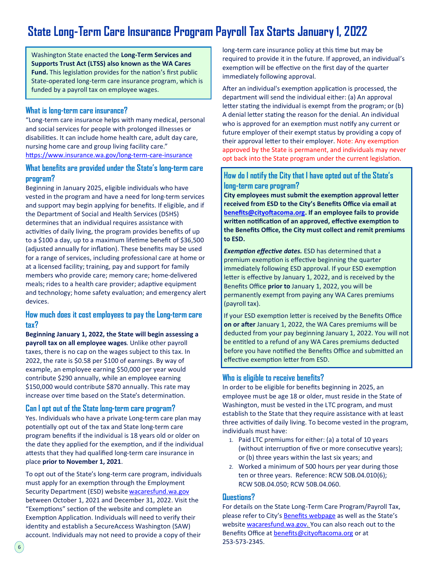### **State Long-Term Care Insurance Program Payroll Tax Starts January 1, 2022**

Washington State enacted the **Long-Term Services and Supports Trust Act (LTSS) also known as the WA Cares Fund.** This legislation provides for the nation's first public State-operated long-term care insurance program, which is funded by a payroll tax on employee wages.

#### **What is long-term care insurance?**

"Long-term care insurance helps with many medical, personal and social services for people with prolonged illnesses or disabilities. It can include home health care, adult day care, nursing home care and group living facility care." [https://www.insurance.wa.gov/long](https://www.insurance.wa.gov/long-term-care-insurance)-term-care-insurance

#### **What benefits are provided under the State's long-term care program?**

Beginning in January 2025, eligible individuals who have vested in the program and have a need for long-term services and support may begin applying for benefits. If eligible, and if the Department of Social and Health Services (DSHS) determines that an individual requires assistance with activities of daily living, the program provides benefits of up to a \$100 a day, up to a maximum lifetime benefit of \$36,500 (adjusted annually for inflation). These benefits may be used for a range of services, including professional care at home or at a licensed facility; training, pay and support for family members who provide care; memory care; home-delivered meals; rides to a health care provider; adaptive equipment and technology; home safety evaluation; and emergency alert devices.

#### **How much does it cost employees to pay the Long-term care tax?**

**Beginning January 1, 2022, the State will begin assessing a payroll tax on all employee wages**. Unlike other payroll taxes, there is no cap on the wages subject to this tax. In 2022, the rate is \$0.58 per \$100 of earnings. By way of example, an employee earning \$50,000 per year would contribute \$290 annually, while an employee earning \$150,000 would contribute \$870 annually. This rate may increase over time based on the State's determination.

#### **Can I opt out of the State long-term care program?**

Yes. Individuals who have a private Long-term care plan may potentially opt out of the tax and State long-term care program benefits if the individual is 18 years old or older on the date they applied for the exemption, and if the individual attests that they had qualified long-term care insurance in place **prior to November 1, 2021**.

To opt out of the State's long-term care program, individuals must apply for an exemption through the Employment Security Department (ESD) website<wacaresfund.wa.gov> between October 1, 2021 and December 31, 2022. Visit the "Exemptions" section of the website and complete an Exemption Application. Individuals will need to verify their identity and establish a SecureAccess Washington (SAW) account. Individuals may not need to provide a copy of their

long-term care insurance policy at this time but may be required to provide it in the future. If approved, an individual's exemption will be effective on the first day of the quarter immediately following approval.

After an individual's exemption application is processed, the department will send the individual either: (a) An approval letter stating the individual is exempt from the program; or (b) A denial letter stating the reason for the denial. An individual who is approved for an exemption must notify any current or future employer of their exempt status by providing a copy of their approval letter to their employer. Note: Any exemption approved by the State is permanent, and individuals may never opt back into the State program under the current legislation.

#### **How do I notify the City that I have opted out of the State's long-term care program?**

**City employees must submit the exemption approval letter received from ESD to the City's Benefits Office via email at [benefits@cityoftacoma.org.](mailto:benefits@cityoftacoma.org) If an employee fails to provide written notification of an approved, effective exemption to the Benefits Office, the City must collect and remit premiums to ESD.**

*Exemption effective dates.* ESD has determined that a premium exemption is effective beginning the quarter immediately following ESD approval. If your ESD exemption letter is effective by January 1, 2022, and is received by the Benefits Office **prior to** January 1, 2022, you will be permanently exempt from paying any WA Cares premiums (payroll tax).

If your ESD exemption letter is received by the Benefits Office **on or after** January 1, 2022, the WA Cares premiums will be deducted from your pay beginning January 1, 2022. You will not be entitled to a refund of any WA Cares premiums deducted before you have notified the Benefits Office and submitted an effective exemption letter from ESD.

#### **Who is eligible to receive benefits?**

In order to be eligible for benefits beginning in 2025, an employee must be age 18 or older, must reside in the State of Washington, must be vested in the LTC program, and must establish to the State that they require assistance with at least three activities of daily living. To become vested in the program, individuals must have:

- 1. Paid LTC premiums for either: (a) a total of 10 years (without interruption of five or more consecutive years); or (b) three years within the last six years; and
- 2. Worked a minimum of 500 hours per year during those ten or three years. Reference: RCW 50B.04.010(6); RCW 50B.04.050; RCW 50B.04.060.

#### **Questions?**

For details on the State Long-Term Care Program/Payroll Tax, please refer to City's **[Benefits webpage](https://www.cityoftacoma.org/government/city_departments/human_resources/employee_benefits/long-term_care)** as well as the State's website [wacaresfund.wa.gov.](wacaresfund.wa.gov) You can also reach out to the Benefits Office at **[benefits@cityoftacoma.org](mailto:benefits@cityoftacoma.org)** or at 253-573-2345.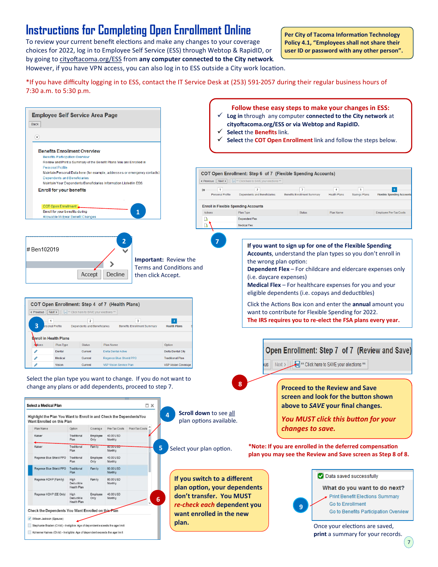### **Instructions for Completing Open Enrollment Online**

To review your current benefit elections and make any changes to your coverage choices for 2022, log in to Employee Self Service (ESS) through Webtop & RapidID, or by going to [cityoftacoma.org/ESS](http://www.cityoftacoma.org/ess) from **any computer connected to the City network**. However, if you have VPN access, you can also log in to ESS outside a City work location.

**Per City of Tacoma Information Technology Policy 4.1, "Employees shall not share their user ID or password with any other person".**

\*If you have difficulty logging in to ESS, contact the IT Service Desk at (253) 591-2057 during their regular business hours of 7:30 a.m. to 5:30 p.m.